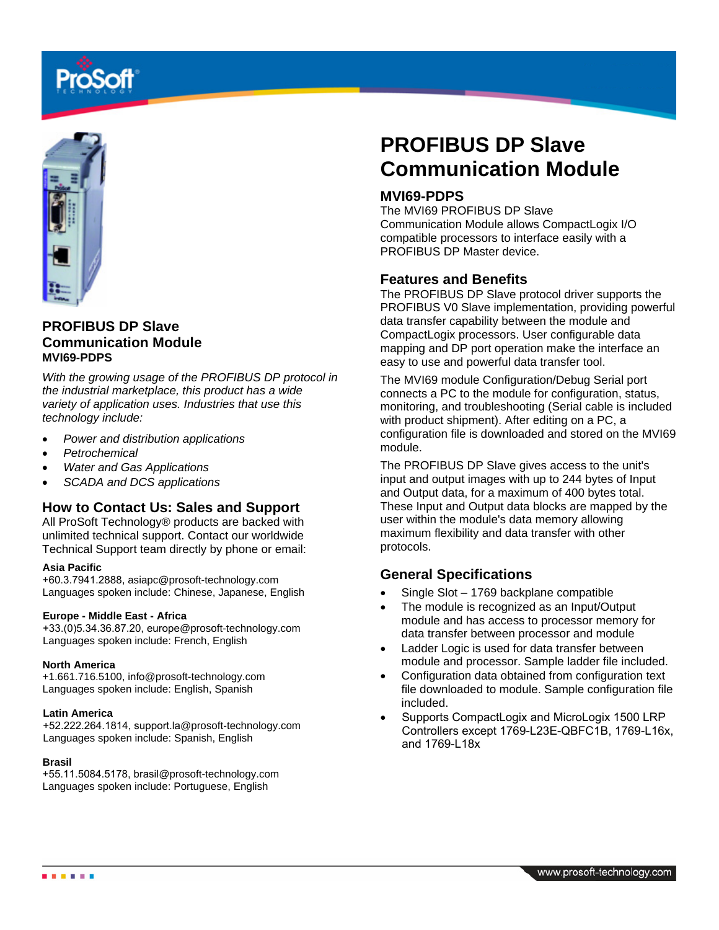

# **PROFIBUS DP Slave Communication Module MVI69-PDPS**

*With the growing usage of the PROFIBUS DP protocol in the industrial marketplace, this product has a wide variety of application uses. Industries that use this technology include:* 

- *Power and distribution applications*
- *Petrochemical*
- *Water and Gas Applications*
- *SCADA and DCS applications*

#### **How to Contact Us: Sales and Support**

All ProSoft Technology® products are backed with unlimited technical support. Contact our worldwide Technical Support team directly by phone or email:

#### **Asia Pacific**

+60.3.7941.2888, asiapc@prosoft-technology.com Languages spoken include: Chinese, Japanese, English

#### **Europe - Middle East - Africa**

+33.(0)5.34.36.87.20, europe@prosoft-technology.com Languages spoken include: French, English

#### **North America**

+1.661.716.5100, info@prosoft-technology.com Languages spoken include: English, Spanish

#### **Latin America**

+52.222.264.1814, support.la@prosoft-technology.com Languages spoken include: Spanish, English

#### **Brasil**

+55.11.5084.5178, brasil@prosoft-technology.com Languages spoken include: Portuguese, English

# **PROFIBUS DP Slave Communication Module**

#### **MVI69-PDPS**

The MVI69 PROFIBUS DP Slave Communication Module allows CompactLogix I/O compatible processors to interface easily with a PROFIBUS DP Master device.

#### **Features and Benefits**

The PROFIBUS DP Slave protocol driver supports the PROFIBUS V0 Slave implementation, providing powerful data transfer capability between the module and CompactLogix processors. User configurable data mapping and DP port operation make the interface an easy to use and powerful data transfer tool.

The MVI69 module Configuration/Debug Serial port connects a PC to the module for configuration, status, monitoring, and troubleshooting (Serial cable is included with product shipment). After editing on a PC, a configuration file is downloaded and stored on the MVI69 module.

The PROFIBUS DP Slave gives access to the unit's input and output images with up to 244 bytes of Input and Output data, for a maximum of 400 bytes total. These Input and Output data blocks are mapped by the user within the module's data memory allowing maximum flexibility and data transfer with other protocols.

#### **General Specifications**

- Single Slot 1769 backplane compatible
- The module is recognized as an Input/Output module and has access to processor memory for data transfer between processor and module
- Ladder Logic is used for data transfer between module and processor. Sample ladder file included.
- Configuration data obtained from configuration text file downloaded to module. Sample configuration file included.
- Supports CompactLogix and MicroLogix 1500 LRP Controllers except 1769-L23E-QBFC1B, 1769-L16x, and 1769-L18x